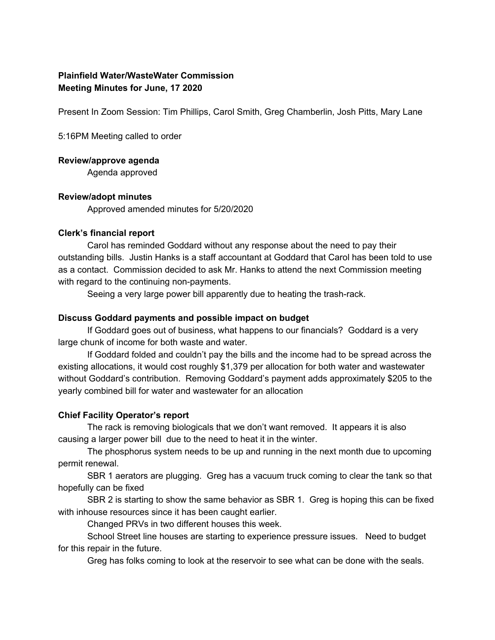# **Plainfield Water/WasteWater Commission Meeting Minutes for June, 17 2020**

Present In Zoom Session: Tim Phillips, Carol Smith, Greg Chamberlin, Josh Pitts, Mary Lane

5:16PM Meeting called to order

#### **Review/approve agenda**

Agenda approved

# **Review/adopt minutes**

Approved amended minutes for 5/20/2020

#### **Clerk's financial report**

Carol has reminded Goddard without any response about the need to pay their outstanding bills. Justin Hanks is a staff accountant at Goddard that Carol has been told to use as a contact. Commission decided to ask Mr. Hanks to attend the next Commission meeting with regard to the continuing non-payments.

Seeing a very large power bill apparently due to heating the trash-rack.

#### **Discuss Goddard payments and possible impact on budget**

If Goddard goes out of business, what happens to our financials? Goddard is a very large chunk of income for both waste and water.

If Goddard folded and couldn't pay the bills and the income had to be spread across the existing allocations, it would cost roughly \$1,379 per allocation for both water and wastewater without Goddard's contribution. Removing Goddard's payment adds approximately \$205 to the yearly combined bill for water and wastewater for an allocation

# **Chief Facility Operator's report**

The rack is removing biologicals that we don't want removed. It appears it is also causing a larger power bill due to the need to heat it in the winter.

The phosphorus system needs to be up and running in the next month due to upcoming permit renewal.

SBR 1 aerators are plugging. Greg has a vacuum truck coming to clear the tank so that hopefully can be fixed

SBR 2 is starting to show the same behavior as SBR 1. Greg is hoping this can be fixed with inhouse resources since it has been caught earlier.

Changed PRVs in two different houses this week.

School Street line houses are starting to experience pressure issues. Need to budget for this repair in the future.

Greg has folks coming to look at the reservoir to see what can be done with the seals.